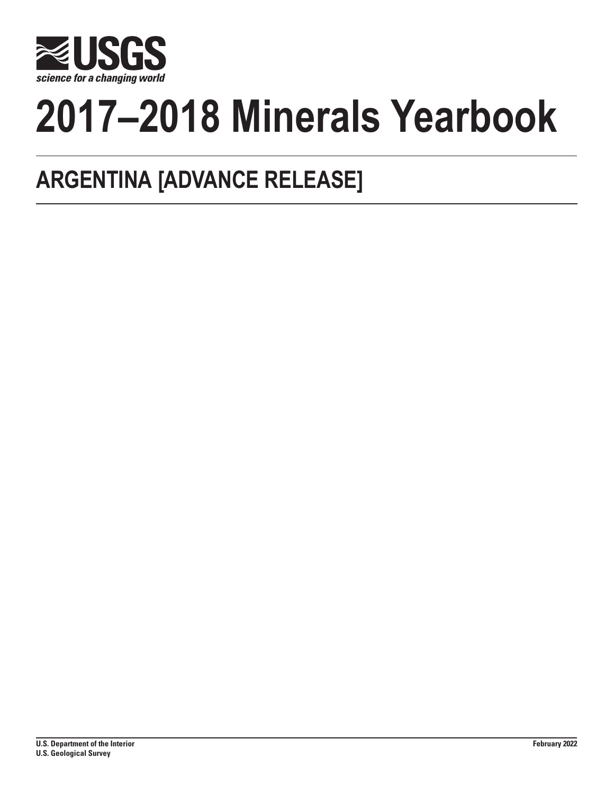

# **2017–2018 Minerals Yearbook**

## **ARGENTINA [ADVANCE RELEASE]**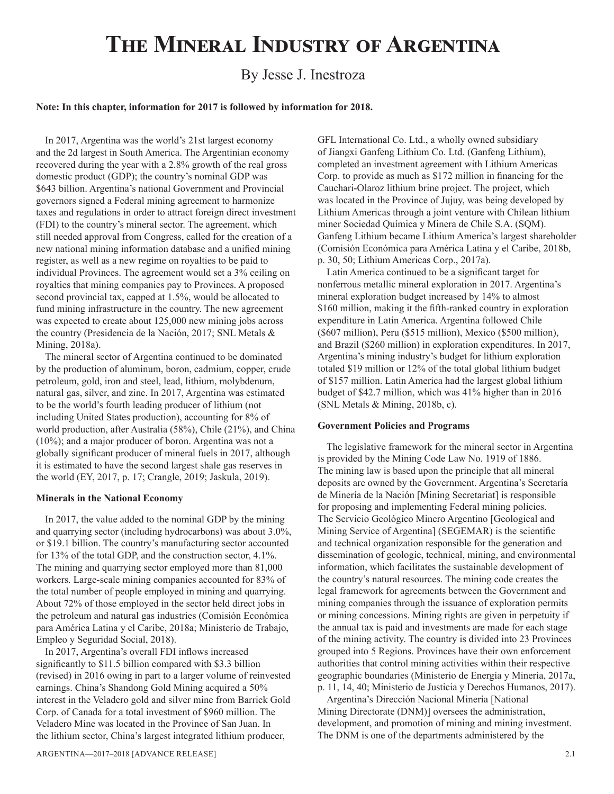## **The Mineral Industry of Argentina**

### By Jesse J. Inestroza

#### **Note: In this chapter, information for 2017 is followed by information for 2018.**

In 2017, Argentina was the world's 21st largest economy and the 2d largest in South America. The Argentinian economy recovered during the year with a 2.8% growth of the real gross domestic product (GDP); the country's nominal GDP was \$643 billion. Argentina's national Government and Provincial governors signed a Federal mining agreement to harmonize taxes and regulations in order to attract foreign direct investment (FDI) to the country's mineral sector. The agreement, which still needed approval from Congress, called for the creation of a new national mining information database and a unified mining register, as well as a new regime on royalties to be paid to individual Provinces. The agreement would set a 3% ceiling on royalties that mining companies pay to Provinces. A proposed second provincial tax, capped at 1.5%, would be allocated to fund mining infrastructure in the country. The new agreement was expected to create about 125,000 new mining jobs across the country (Presidencia de la Nación, 2017; SNL Metals & Mining, 2018a).

The mineral sector of Argentina continued to be dominated by the production of aluminum, boron, cadmium, copper, crude petroleum, gold, iron and steel, lead, lithium, molybdenum, natural gas, silver, and zinc. In 2017, Argentina was estimated to be the world's fourth leading producer of lithium (not including United States production), accounting for 8% of world production, after Australia (58%), Chile (21%), and China (10%); and a major producer of boron. Argentina was not a globally significant producer of mineral fuels in 2017, although it is estimated to have the second largest shale gas reserves in the world (EY, 2017, p. 17; Crangle, 2019; Jaskula, 2019).

#### **Minerals in the National Economy**

In 2017, the value added to the nominal GDP by the mining and quarrying sector (including hydrocarbons) was about 3.0%, or \$19.1 billion. The country's manufacturing sector accounted for 13% of the total GDP, and the construction sector, 4.1%. The mining and quarrying sector employed more than 81,000 workers. Large-scale mining companies accounted for 83% of the total number of people employed in mining and quarrying. About 72% of those employed in the sector held direct jobs in the petroleum and natural gas industries (Comisión Económica para América Latina y el Caribe, 2018a; Ministerio de Trabajo, Empleo y Seguridad Social, 2018).

In 2017, Argentina's overall FDI inflows increased significantly to \$11.5 billion compared with \$3.3 billion (revised) in 2016 owing in part to a larger volume of reinvested earnings. China's Shandong Gold Mining acquired a 50% interest in the Veladero gold and silver mine from Barrick Gold Corp. of Canada for a total investment of \$960 million. The Veladero Mine was located in the Province of San Juan. In the lithium sector, China's largest integrated lithium producer,

GFL International Co. Ltd., a wholly owned subsidiary of Jiangxi Ganfeng Lithium Co. Ltd. (Ganfeng Lithium), completed an investment agreement with Lithium Americas Corp. to provide as much as \$172 million in financing for the Cauchari-Olaroz lithium brine project. The project, which was located in the Province of Jujuy, was being developed by Lithium Americas through a joint venture with Chilean lithium miner Sociedad Química y Minera de Chile S.A. (SQM). Ganfeng Lithium became Lithium America's largest shareholder (Comisión Económica para América Latina y el Caribe, 2018b, p. 30, 50; Lithium Americas Corp., 2017a).

Latin America continued to be a significant target for nonferrous metallic mineral exploration in 2017. Argentina's mineral exploration budget increased by 14% to almost \$160 million, making it the fifth-ranked country in exploration expenditure in Latin America. Argentina followed Chile (\$607 million), Peru (\$515 million), Mexico (\$500 million), and Brazil (\$260 million) in exploration expenditures. In 2017, Argentina's mining industry's budget for lithium exploration totaled \$19 million or 12% of the total global lithium budget of \$157 million. Latin America had the largest global lithium budget of \$42.7 million, which was 41% higher than in 2016 (SNL Metals & Mining, 2018b, c).

#### **Government Policies and Programs**

The legislative framework for the mineral sector in Argentina is provided by the Mining Code Law No. 1919 of 1886. The mining law is based upon the principle that all mineral deposits are owned by the Government. Argentina's Secretaría de Minería de la Nación [Mining Secretariat] is responsible for proposing and implementing Federal mining policies. The Servicio Geológico Minero Argentino [Geological and Mining Service of Argentina] (SEGEMAR) is the scientific and technical organization responsible for the generation and dissemination of geologic, technical, mining, and environmental information, which facilitates the sustainable development of the country's natural resources. The mining code creates the legal framework for agreements between the Government and mining companies through the issuance of exploration permits or mining concessions. Mining rights are given in perpetuity if the annual tax is paid and investments are made for each stage of the mining activity. The country is divided into 23 Provinces grouped into 5 Regions. Provinces have their own enforcement authorities that control mining activities within their respective geographic boundaries (Ministerio de Energía y Minería, 2017a, p. 11, 14, 40; Ministerio de Justicia y Derechos Humanos, 2017).

Argentina's Dirección Nacional Minería [National Mining Directorate (DNM)] oversees the administration, development, and promotion of mining and mining investment. The DNM is one of the departments administered by the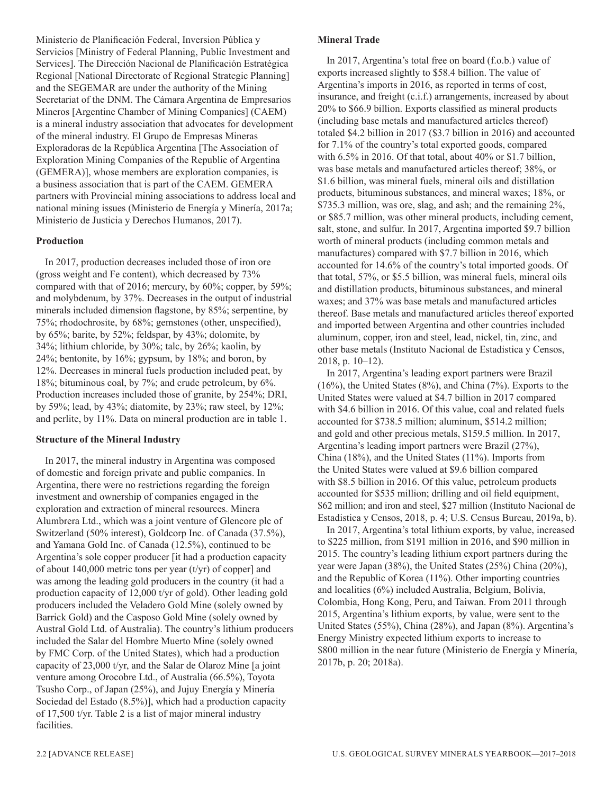Ministerio de Planificación Federal, Inversion Pública y Servicios [Ministry of Federal Planning, Public Investment and Services]. The Dirección Nacional de Planificación Estratégica Regional [National Directorate of Regional Strategic Planning] and the SEGEMAR are under the authority of the Mining Secretariat of the DNM. The Cámara Argentina de Empresarios Mineros [Argentine Chamber of Mining Companies] (CAEM) is a mineral industry association that advocates for development of the mineral industry. El Grupo de Empresas Mineras Exploradoras de la República Argentina [The Association of Exploration Mining Companies of the Republic of Argentina (GEMERA)], whose members are exploration companies, is a business association that is part of the CAEM. GEMERA partners with Provincial mining associations to address local and national mining issues (Ministerio de Energía y Minería, 2017a; Ministerio de Justicia y Derechos Humanos, 2017).

#### **Production**

In 2017, production decreases included those of iron ore (gross weight and Fe content), which decreased by 73% compared with that of 2016; mercury, by 60%; copper, by 59%; and molybdenum, by 37%. Decreases in the output of industrial minerals included dimension flagstone, by 85%; serpentine, by 75%; rhodochrosite, by 68%; gemstones (other, unspecified), by 65%; barite, by 52%; feldspar, by 43%; dolomite, by 34%; lithium chloride, by 30%; talc, by 26%; kaolin, by 24%; bentonite, by 16%; gypsum, by 18%; and boron, by 12%. Decreases in mineral fuels production included peat, by 18%; bituminous coal, by 7%; and crude petroleum, by 6%. Production increases included those of granite, by 254%; DRI, by 59%; lead, by 43%; diatomite, by 23%; raw steel, by 12%; and perlite, by 11%. Data on mineral production are in table 1.

#### **Structure of the Mineral Industry**

In 2017, the mineral industry in Argentina was composed of domestic and foreign private and public companies. In Argentina, there were no restrictions regarding the foreign investment and ownership of companies engaged in the exploration and extraction of mineral resources. Minera Alumbrera Ltd., which was a joint venture of Glencore plc of Switzerland (50% interest), Goldcorp Inc. of Canada (37.5%), and Yamana Gold Inc. of Canada (12.5%), continued to be Argentina's sole copper producer [it had a production capacity of about 140,000 metric tons per year  $(t/yr)$  of copper] and was among the leading gold producers in the country (it had a production capacity of 12,000 t/yr of gold). Other leading gold producers included the Veladero Gold Mine (solely owned by Barrick Gold) and the Casposo Gold Mine (solely owned by Austral Gold Ltd. of Australia). The country's lithium producers included the Salar del Hombre Muerto Mine (solely owned by FMC Corp. of the United States), which had a production capacity of 23,000 t/yr, and the Salar de Olaroz Mine [a joint venture among Orocobre Ltd., of Australia (66.5%), Toyota Tsusho Corp., of Japan (25%), and Jujuy Energía y Minería Sociedad del Estado (8.5%)], which had a production capacity of 17,500 t/yr. Table 2 is a list of major mineral industry facilities.

In 2017, Argentina's total free on board (f.o.b.) value of exports increased slightly to \$58.4 billion. The value of Argentina's imports in 2016, as reported in terms of cost, insurance, and freight (c.i.f.) arrangements, increased by about 20% to \$66.9 billion. Exports classified as mineral products (including base metals and manufactured articles thereof) totaled \$4.2 billion in 2017 (\$3.7 billion in 2016) and accounted for 7.1% of the country's total exported goods, compared with 6.5% in 2016. Of that total, about 40% or \$1.7 billion, was base metals and manufactured articles thereof; 38%, or \$1.6 billion, was mineral fuels, mineral oils and distillation products, bituminous substances, and mineral waxes; 18%, or \$735.3 million, was ore, slag, and ash; and the remaining 2%, or \$85.7 million, was other mineral products, including cement, salt, stone, and sulfur. In 2017, Argentina imported \$9.7 billion worth of mineral products (including common metals and manufactures) compared with \$7.7 billion in 2016, which accounted for 14.6% of the country's total imported goods. Of that total, 57%, or \$5.5 billion, was mineral fuels, mineral oils and distillation products, bituminous substances, and mineral waxes; and 37% was base metals and manufactured articles thereof. Base metals and manufactured articles thereof exported and imported between Argentina and other countries included aluminum, copper, iron and steel, lead, nickel, tin, zinc, and other base metals (Instituto Nacional de Estadistica y Censos, 2018, p. 10–12).

In 2017, Argentina's leading export partners were Brazil (16%), the United States (8%), and China (7%). Exports to the United States were valued at \$4.7 billion in 2017 compared with \$4.6 billion in 2016. Of this value, coal and related fuels accounted for \$738.5 million; aluminum, \$514.2 million; and gold and other precious metals, \$159.5 million. In 2017, Argentina's leading import partners were Brazil (27%), China (18%), and the United States (11%). Imports from the United States were valued at \$9.6 billion compared with \$8.5 billion in 2016. Of this value, petroleum products accounted for \$535 million; drilling and oil field equipment, \$62 million; and iron and steel, \$27 million (Instituto Nacional de Estadistica y Censos, 2018, p. 4; U.S. Census Bureau, 2019a, b).

In 2017, Argentina's total lithium exports, by value, increased to \$225 million, from \$191 million in 2016, and \$90 million in 2015. The country's leading lithium export partners during the year were Japan (38%), the United States (25%) China (20%), and the Republic of Korea (11%). Other importing countries and localities (6%) included Australia, Belgium, Bolivia, Colombia, Hong Kong, Peru, and Taiwan. From 2011 through 2015, Argentina's lithium exports, by value, were sent to the United States (55%), China (28%), and Japan (8%). Argentina's Energy Ministry expected lithium exports to increase to \$800 million in the near future (Ministerio de Energía y Minería, 2017b, p. 20; 2018a).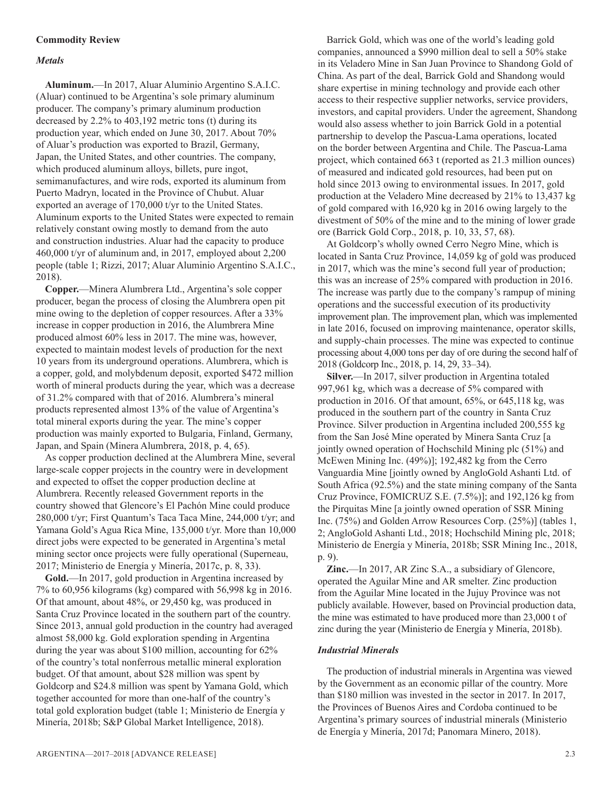#### **Commodity Review**

#### *Metals*

**Aluminum.**—In 2017, Aluar Aluminio Argentino S.A.I.C. (Aluar) continued to be Argentina's sole primary aluminum producer. The company's primary aluminum production decreased by 2.2% to 403,192 metric tons (t) during its production year, which ended on June 30, 2017. About 70% of Aluar's production was exported to Brazil, Germany, Japan, the United States, and other countries. The company, which produced aluminum alloys, billets, pure ingot, semimanufactures, and wire rods, exported its aluminum from Puerto Madryn, located in the Province of Chubut. Aluar exported an average of 170,000 t/yr to the United States. Aluminum exports to the United States were expected to remain relatively constant owing mostly to demand from the auto and construction industries. Aluar had the capacity to produce 460,000 t/yr of aluminum and, in 2017, employed about 2,200 people (table 1; Rizzi, 2017; Aluar Aluminio Argentino S.A.I.C., 2018).

**Copper.**—Minera Alumbrera Ltd., Argentina's sole copper producer, began the process of closing the Alumbrera open pit mine owing to the depletion of copper resources. After a 33% increase in copper production in 2016, the Alumbrera Mine produced almost 60% less in 2017. The mine was, however, expected to maintain modest levels of production for the next 10 years from its underground operations. Alumbrera, which is a copper, gold, and molybdenum deposit, exported \$472 million worth of mineral products during the year, which was a decrease of 31.2% compared with that of 2016. Alumbrera's mineral products represented almost 13% of the value of Argentina's total mineral exports during the year. The mine's copper production was mainly exported to Bulgaria, Finland, Germany, Japan, and Spain (Minera Alumbrera, 2018, p. 4, 65).

As copper production declined at the Alumbrera Mine, several large-scale copper projects in the country were in development and expected to offset the copper production decline at Alumbrera. Recently released Government reports in the country showed that Glencore's El Pachón Mine could produce 280,000 t/yr; First Quantum's Taca Taca Mine, 244,000 t/yr; and Yamana Gold's Agua Rica Mine, 135,000 t/yr. More than 10,000 direct jobs were expected to be generated in Argentina's metal mining sector once projects were fully operational (Superneau, 2017; Ministerio de Energía y Minería, 2017c, p. 8, 33).

**Gold.**—In 2017, gold production in Argentina increased by 7% to 60,956 kilograms (kg) compared with 56,998 kg in 2016. Of that amount, about 48%, or 29,450 kg, was produced in Santa Cruz Province located in the southern part of the country. Since 2013, annual gold production in the country had averaged almost 58,000 kg. Gold exploration spending in Argentina during the year was about \$100 million, accounting for 62% of the country's total nonferrous metallic mineral exploration budget. Of that amount, about \$28 million was spent by Goldcorp and \$24.8 million was spent by Yamana Gold, which together accounted for more than one-half of the country's total gold exploration budget (table 1; Ministerio de Energía y Minería, 2018b; S&P Global Market Intelligence, 2018).

Barrick Gold, which was one of the world's leading gold companies, announced a \$990 million deal to sell a 50% stake in its Veladero Mine in San Juan Province to Shandong Gold of China. As part of the deal, Barrick Gold and Shandong would share expertise in mining technology and provide each other access to their respective supplier networks, service providers, investors, and capital providers. Under the agreement, Shandong would also assess whether to join Barrick Gold in a potential partnership to develop the Pascua-Lama operations, located on the border between Argentina and Chile. The Pascua-Lama project, which contained 663 t (reported as 21.3 million ounces) of measured and indicated gold resources, had been put on hold since 2013 owing to environmental issues. In 2017, gold production at the Veladero Mine decreased by 21% to 13,437 kg of gold compared with 16,920 kg in 2016 owing largely to the divestment of 50% of the mine and to the mining of lower grade ore (Barrick Gold Corp., 2018, p. 10, 33, 57, 68).

At Goldcorp's wholly owned Cerro Negro Mine, which is located in Santa Cruz Province, 14,059 kg of gold was produced in 2017, which was the mine's second full year of production; this was an increase of 25% compared with production in 2016. The increase was partly due to the company's rampup of mining operations and the successful execution of its productivity improvement plan. The improvement plan, which was implemented in late 2016, focused on improving maintenance, operator skills, and supply-chain processes. The mine was expected to continue processing about 4,000 tons per day of ore during the second half of 2018 (Goldcorp Inc., 2018, p. 14, 29, 33–34).

**Silver.**—In 2017, silver production in Argentina totaled 997,961 kg, which was a decrease of 5% compared with production in 2016. Of that amount, 65%, or 645,118 kg, was produced in the southern part of the country in Santa Cruz Province. Silver production in Argentina included 200,555 kg from the San José Mine operated by Minera Santa Cruz [a jointly owned operation of Hochschild Mining plc (51%) and McEwen Mining Inc. (49%)]; 192,482 kg from the Cerro Vanguardia Mine [jointly owned by AngloGold Ashanti Ltd. of South Africa (92.5%) and the state mining company of the Santa Cruz Province, FOMICRUZ S.E. (7.5%)]; and 192,126 kg from the Pirquitas Mine [a jointly owned operation of SSR Mining Inc. (75%) and Golden Arrow Resources Corp. (25%)] (tables 1, 2; AngloGold Ashanti Ltd., 2018; Hochschild Mining plc, 2018; Ministerio de Energía y Minería, 2018b; SSR Mining Inc., 2018, p. 9).

**Zinc.**—In 2017, AR Zinc S.A., a subsidiary of Glencore, operated the Aguilar Mine and AR smelter. Zinc production from the Aguilar Mine located in the Jujuy Province was not publicly available. However, based on Provincial production data, the mine was estimated to have produced more than 23,000 t of zinc during the year (Ministerio de Energía y Minería, 2018b).

#### *Industrial Minerals*

The production of industrial minerals in Argentina was viewed by the Government as an economic pillar of the country. More than \$180 million was invested in the sector in 2017. In 2017, the Provinces of Buenos Aires and Cordoba continued to be Argentina's primary sources of industrial minerals (Ministerio de Energía y Minería, 2017d; Panomara Minero, 2018).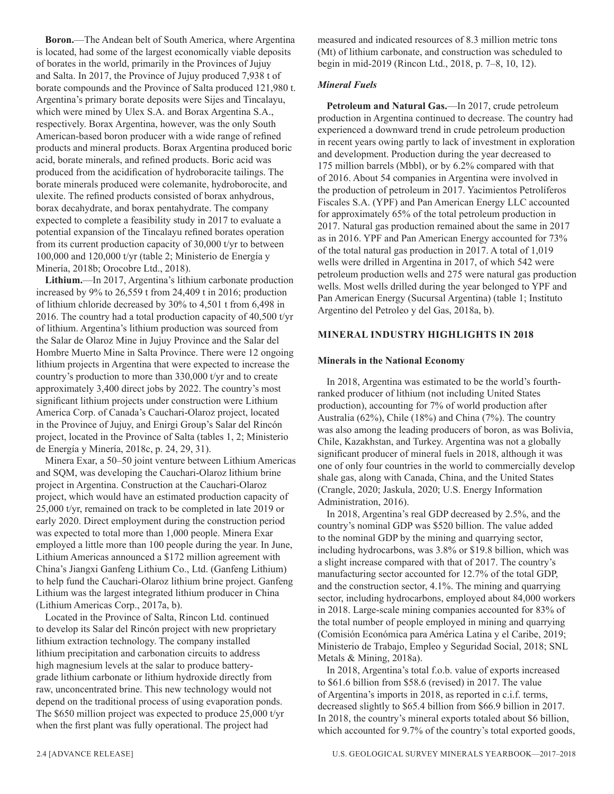**Boron.**—The Andean belt of South America, where Argentina is located, had some of the largest economically viable deposits of borates in the world, primarily in the Provinces of Jujuy and Salta. In 2017, the Province of Jujuy produced 7,938 t of borate compounds and the Province of Salta produced 121,980 t. Argentina's primary borate deposits were Sijes and Tincalayu, which were mined by Ulex S.A. and Borax Argentina S.A., respectively. Borax Argentina, however, was the only South American-based boron producer with a wide range of refined products and mineral products. Borax Argentina produced boric acid, borate minerals, and refined products. Boric acid was produced from the acidification of hydroboracite tailings. The borate minerals produced were colemanite, hydroborocite, and ulexite. The refined products consisted of borax anhydrous, borax decahydrate, and borax pentahydrate. The company expected to complete a feasibility study in 2017 to evaluate a potential expansion of the Tincalayu refined borates operation from its current production capacity of 30,000 t/yr to between 100,000 and 120,000 t/yr (table 2; Ministerio de Energía y Minería, 2018b; Orocobre Ltd., 2018).

**Lithium.**—In 2017, Argentina's lithium carbonate production increased by 9% to 26,559 t from 24,409 t in 2016; production of lithium chloride decreased by 30% to 4,501 t from 6,498 in 2016. The country had a total production capacity of 40,500 t/yr of lithium. Argentina's lithium production was sourced from the Salar de Olaroz Mine in Jujuy Province and the Salar del Hombre Muerto Mine in Salta Province. There were 12 ongoing lithium projects in Argentina that were expected to increase the country's production to more than 330,000 t/yr and to create approximately 3,400 direct jobs by 2022. The country's most significant lithium projects under construction were Lithium America Corp. of Canada's Cauchari-Olaroz project, located in the Province of Jujuy, and Enirgi Group's Salar del Rincón project, located in the Province of Salta (tables 1, 2; Ministerio de Energía y Minería, 2018c, p. 24, 29, 31).

Minera Exar, a 50–50 joint venture between Lithium Americas and SQM, was developing the Cauchari-Olaroz lithium brine project in Argentina. Construction at the Cauchari-Olaroz project, which would have an estimated production capacity of 25,000 t/yr, remained on track to be completed in late 2019 or early 2020. Direct employment during the construction period was expected to total more than 1,000 people. Minera Exar employed a little more than 100 people during the year. In June, Lithium Americas announced a \$172 million agreement with China's Jiangxi Ganfeng Lithium Co., Ltd. (Ganfeng Lithium) to help fund the Cauchari-Olaroz lithium brine project. Ganfeng Lithium was the largest integrated lithium producer in China (Lithium Americas Corp., 2017a, b).

Located in the Province of Salta, Rincon Ltd. continued to develop its Salar del Rincón project with new proprietary lithium extraction technology. The company installed lithium precipitation and carbonation circuits to address high magnesium levels at the salar to produce batterygrade lithium carbonate or lithium hydroxide directly from raw, unconcentrated brine. This new technology would not depend on the traditional process of using evaporation ponds. The \$650 million project was expected to produce 25,000 t/yr when the first plant was fully operational. The project had

measured and indicated resources of 8.3 million metric tons (Mt) of lithium carbonate, and construction was scheduled to begin in mid-2019 (Rincon Ltd., 2018, p. 7–8, 10, 12).

#### *Mineral Fuels*

**Petroleum and Natural Gas.**—In 2017, crude petroleum production in Argentina continued to decrease. The country had experienced a downward trend in crude petroleum production in recent years owing partly to lack of investment in exploration and development. Production during the year decreased to 175 million barrels (Mbbl), or by 6.2% compared with that of 2016. About 54 companies in Argentina were involved in the production of petroleum in 2017. Yacimientos Petrolíferos Fiscales S.A. (YPF) and Pan American Energy LLC accounted for approximately 65% of the total petroleum production in 2017. Natural gas production remained about the same in 2017 as in 2016. YPF and Pan American Energy accounted for 73% of the total natural gas production in 2017. A total of 1,019 wells were drilled in Argentina in 2017, of which 542 were petroleum production wells and 275 were natural gas production wells. Most wells drilled during the year belonged to YPF and Pan American Energy (Sucursal Argentina) (table 1; Instituto Argentino del Petroleo y del Gas, 2018a, b).

#### **MINERAL INDUSTRY HIGHLIGHTS IN 2018**

#### **Minerals in the National Economy**

In 2018, Argentina was estimated to be the world's fourthranked producer of lithium (not including United States production), accounting for 7% of world production after Australia (62%), Chile (18%) and China (7%). The country was also among the leading producers of boron, as was Bolivia, Chile, Kazakhstan, and Turkey. Argentina was not a globally significant producer of mineral fuels in 2018, although it was one of only four countries in the world to commercially develop shale gas, along with Canada, China, and the United States (Crangle, 2020; Jaskula, 2020; U.S. Energy Information Administration, 2016).

In 2018, Argentina's real GDP decreased by 2.5%, and the country's nominal GDP was \$520 billion. The value added to the nominal GDP by the mining and quarrying sector, including hydrocarbons, was 3.8% or \$19.8 billion, which was a slight increase compared with that of 2017. The country's manufacturing sector accounted for 12.7% of the total GDP, and the construction sector, 4.1%. The mining and quarrying sector, including hydrocarbons, employed about 84,000 workers in 2018. Large-scale mining companies accounted for 83% of the total number of people employed in mining and quarrying (Comisión Económica para América Latina y el Caribe, 2019; Ministerio de Trabajo, Empleo y Seguridad Social, 2018; SNL Metals & Mining, 2018a).

In 2018, Argentina's total f.o.b. value of exports increased to \$61.6 billion from \$58.6 (revised) in 2017. The value of Argentina's imports in 2018, as reported in c.i.f. terms, decreased slightly to \$65.4 billion from \$66.9 billion in 2017. In 2018, the country's mineral exports totaled about \$6 billion, which accounted for 9.7% of the country's total exported goods,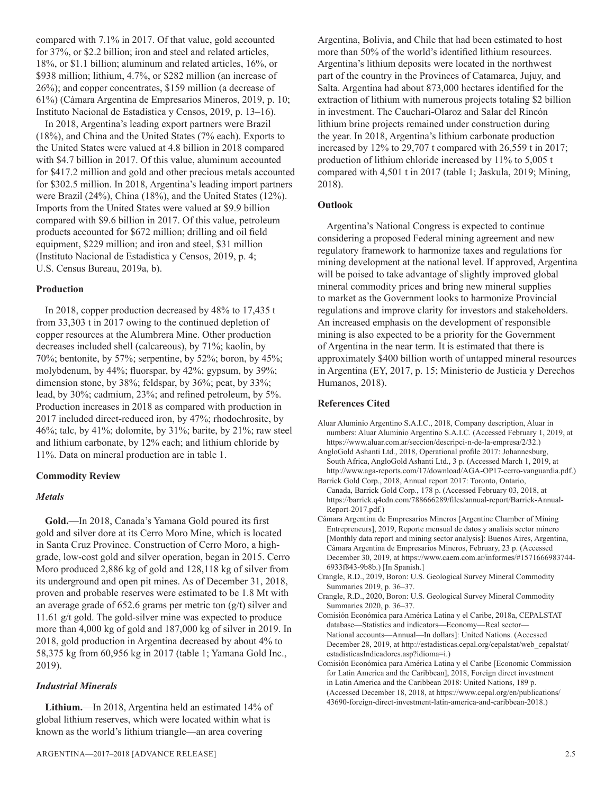compared with 7.1% in 2017. Of that value, gold accounted for 37%, or \$2.2 billion; iron and steel and related articles, 18%, or \$1.1 billion; aluminum and related articles, 16%, or \$938 million; lithium, 4.7%, or \$282 million (an increase of 26%); and copper concentrates, \$159 million (a decrease of 61%) (Cámara Argentina de Empresarios Mineros, 2019, p. 10; Instituto Nacional de Estadistica y Censos, 2019, p. 13–16).

In 2018, Argentina's leading export partners were Brazil (18%), and China and the United States (7% each). Exports to the United States were valued at 4.8 billion in 2018 compared with \$4.7 billion in 2017. Of this value, aluminum accounted for \$417.2 million and gold and other precious metals accounted for \$302.5 million. In 2018, Argentina's leading import partners were Brazil (24%), China (18%), and the United States (12%). Imports from the United States were valued at \$9.9 billion compared with \$9.6 billion in 2017. Of this value, petroleum products accounted for \$672 million; drilling and oil field equipment, \$229 million; and iron and steel, \$31 million (Instituto Nacional de Estadistica y Censos, 2019, p. 4; U.S. Census Bureau, 2019a, b).

#### **Production**

In 2018, copper production decreased by 48% to 17,435 t from 33,303 t in 2017 owing to the continued depletion of copper resources at the Alumbrera Mine. Other production decreases included shell (calcareous), by 71%; kaolin, by 70%; bentonite, by 57%; serpentine, by 52%; boron, by 45%; molybdenum, by 44%; fluorspar, by 42%; gypsum, by 39%; dimension stone, by 38%; feldspar, by 36%; peat, by 33%; lead, by 30%; cadmium, 23%; and refined petroleum, by 5%. Production increases in 2018 as compared with production in 2017 included direct-reduced iron, by 47%; rhodochrosite, by 46%; talc, by 41%; dolomite, by 31%; barite, by 21%; raw steel and lithium carbonate, by 12% each; and lithium chloride by 11%. Data on mineral production are in table 1.

#### **Commodity Review**

#### *Metals*

**Gold.**—In 2018, Canada's Yamana Gold poured its first gold and silver dore at its Cerro Moro Mine, which is located in Santa Cruz Province. Construction of Cerro Moro, a highgrade, low-cost gold and silver operation, began in 2015. Cerro Moro produced 2,886 kg of gold and 128,118 kg of silver from its underground and open pit mines. As of December 31, 2018, proven and probable reserves were estimated to be 1.8 Mt with an average grade of  $652.6$  grams per metric ton  $(g/t)$  silver and 11.61 g/t gold. The gold-silver mine was expected to produce more than 4,000 kg of gold and 187,000 kg of silver in 2019. In 2018, gold production in Argentina decreased by about 4% to 58,375 kg from 60,956 kg in 2017 (table 1; Yamana Gold Inc., 2019).

#### *Industrial Minerals*

**Lithium.**—In 2018, Argentina held an estimated 14% of global lithium reserves, which were located within what is known as the world's lithium triangle—an area covering

Argentina, Bolivia, and Chile that had been estimated to host more than 50% of the world's identified lithium resources. Argentina's lithium deposits were located in the northwest part of the country in the Provinces of Catamarca, Jujuy, and Salta. Argentina had about 873,000 hectares identified for the extraction of lithium with numerous projects totaling \$2 billion in investment. The Cauchari-Olaroz and Salar del Rincón lithium brine projects remained under construction during the year. In 2018, Argentina's lithium carbonate production increased by 12% to 29,707 t compared with 26,559 t in 2017; production of lithium chloride increased by 11% to 5,005 t compared with 4,501 t in 2017 (table 1; Jaskula, 2019; Mining, 2018).

#### **Outlook**

Argentina's National Congress is expected to continue considering a proposed Federal mining agreement and new regulatory framework to harmonize taxes and regulations for mining development at the national level. If approved, Argentina will be poised to take advantage of slightly improved global mineral commodity prices and bring new mineral supplies to market as the Government looks to harmonize Provincial regulations and improve clarity for investors and stakeholders. An increased emphasis on the development of responsible mining is also expected to be a priority for the Government of Argentina in the near term. It is estimated that there is approximately \$400 billion worth of untapped mineral resources in Argentina (EY, 2017, p. 15; Ministerio de Justicia y Derechos Humanos, 2018).

#### **References Cited**

- Aluar Aluminio Argentino S.A.I.C., 2018, Company description, Aluar in numbers: Aluar Aluminio Argentino S.A.I.C. (Accessed February 1, 2019, at https://www.aluar.com.ar/seccion/descripci-n-de-la-empresa/2/32.)
- AngloGold Ashanti Ltd., 2018, Operational profile 2017: Johannesburg, South Africa, AngloGold Ashanti Ltd., 3 p. (Accessed March 1, 2019, at http://www.aga-reports.com/17/download/AGA-OP17-cerro-vanguardia.pdf.)
- Barrick Gold Corp., 2018, Annual report 2017: Toronto, Ontario, Canada, Barrick Gold Corp., 178 p. (Accessed February 03, 2018, at https://barrick.q4cdn.com/788666289/files/annual-report/Barrick-Annual-Report-2017.pdf.)
- Cámara Argentina de Empresarios Mineros [Argentine Chamber of Mining Entrepreneurs], 2019, Reporte mensual de datos y analisis sector minero [Monthly data report and mining sector analysis]: Buenos Aires, Argentina, Cámara Argentina de Empresarios Mineros, February, 23 p. (Accessed December 30, 2019, at https://www.caem.com.ar/informes/#1571666983744- 6933f843-9b8b.) [In Spanish.]
- Crangle, R.D., 2019, Boron: U.S. Geological Survey Mineral Commodity Summaries 2019, p. 36–37.
- Crangle, R.D., 2020, Boron: U.S. Geological Survey Mineral Commodity Summaries 2020, p. 36–37.
- Comisión Económica para América Latina y el Caribe, 2018a, CEPALSTAT database—Statistics and indicators—Economy—Real sector— National accounts—Annual—In dollars]: United Nations. (Accessed December 28, 2019, at http://estadisticas.cepal.org/cepalstat/web\_cepalstat/ estadisticasIndicadores.asp?idioma=i.)
- Comisión Económica para América Latina y el Caribe [Economic Commission for Latin America and the Caribbean], 2018, Foreign direct investment in Latin America and the Caribbean 2018: United Nations, 189 p. (Accessed December 18, 2018, at https://www.cepal.org/en/publications/ 43690-foreign-direct-investment-latin-america-and-caribbean-2018.)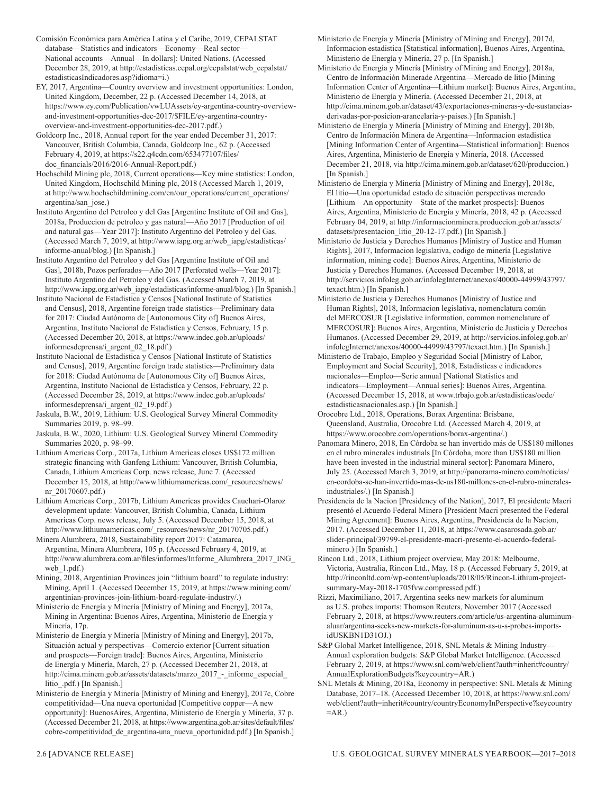- Comisión Económica para América Latina y el Caribe, 2019, CEPALSTAT database—Statistics and indicators—Economy—Real sector— National accounts—Annual—In dollars]: United Nations. (Accessed December 28, 2019, at http://estadisticas.cepal.org/cepalstat/web\_cepalstat/ estadisticasIndicadores.asp?idioma=i.)
- EY, 2017, Argentina—Country overview and investment opportunities: London, United Kingdom, December, 22 p. (Accessed December 14, 2018, at https://www.ey.com/Publication/vwLUAssets/ey-argentina-country-overviewand-investment-opportunities-dec-2017/\$FILE/ey-argentina-countryoverview-and-investment-opportunities-dec-2017.pdf.)
- Goldcorp Inc., 2018, Annual report for the year ended December 31, 2017: Vancouver, British Columbia, Canada, Goldcorp Inc., 62 p. (Accessed February 4, 2019, at https://s22.q4cdn.com/653477107/files/ doc\_financials/2016/2016-Annual-Report.pdf.)
- Hochschild Mining plc, 2018, Current operations—Key mine statistics: London, United Kingdom, Hochschild Mining plc, 2018 (Accessed March 1, 2019, at http://www.hochschildmining.com/en/our\_operations/current\_operations/ argentina/san\_jose.)
- Instituto Argentino del Petroleo y del Gas [Argentine Institute of Oil and Gas], 2018a, Produccion de petroleo y gas natural—Año 2017 [Production of oil and natural gas—Year 2017]: Instituto Argentino del Petroleo y del Gas. (Accessed March 7, 2019, at http://www.iapg.org.ar/web\_iapg/estadisticas/ informe-anual/blog.) [In Spanish.]
- Instituto Argentino del Petroleo y del Gas [Argentine Institute of Oil and Gas], 2018b, Pozos perforados—Año 2017 [Perforated wells—Year 2017]: Instituto Argentino del Petroleo y del Gas. (Accessed March 7, 2019, at http://www.iapg.org.ar/web\_iapg/estadisticas/informe-anual/blog.) [In Spanish.]
- Instituto Nacional de Estadistica y Censos [National Institute of Statistics and Census], 2018, Argentine foreign trade statistics—Preliminary data for 2017: Ciudad Autónoma de [Autonomous City of] Buenos Aires, Argentina, Instituto Nacional de Estadistíca y Censos, February, 15 p. (Accessed December 20, 2018, at https://www.indec.gob.ar/uploads/ informesdeprensa/i\_argent\_02\_18.pdf.)
- Instituto Nacional de Estadistica y Censos [National Institute of Statistics and Census], 2019, Argentine foreign trade statistics—Preliminary data for 2018: Ciudad Autónoma de [Autonomous City of] Buenos Aires, Argentina, Instituto Nacional de Estadistíca y Censos, February, 22 p. (Accessed December 28, 2019, at https://www.indec.gob.ar/uploads/ informesdeprensa/i\_argent\_02\_19.pdf.)
- Jaskula, B.W., 2019, Lithium: U.S. Geological Survey Mineral Commodity Summaries 2019, p. 98–99.
- Jaskula, B.W., 2020, Lithium: U.S. Geological Survey Mineral Commodity Summaries 2020, p. 98–99.
- Lithium Americas Corp., 2017a, Lithium Americas closes US\$172 million strategic financing with Ganfeng Lithium: Vancouver, British Columbia, Canada, Lithium Americas Corp. news release, June 7. (Accessed December 15, 2018, at http://www.lithiumamericas.com/\_resources/news/ nr\_20170607.pdf.)
- Lithium Americas Corp., 2017b, Lithium Americas provides Cauchari-Olaroz development update: Vancouver, British Columbia, Canada, Lithium Americas Corp. news release, July 5. (Accessed December 15, 2018, at
- Minera Alumbrera, 2018, Sustainability report 2017: Catamarca, Argentina, Minera Alumbrera, 105 p. (Accessed February 4, 2019, at web 1.pdf.)
- Mining, 2018, Argentinian Provinces join "lithium board" to regulate industry: Mining, April 1. (Accessed December 15, 2019, at https://www.mining.com/ argentinian-provinces-join-lithium-board-regulate-industry/.)
- Ministerio de Energía y Minería [Ministry of Mining and Energy], 2017a, Mining in Argentina: Buenos Aires, Argentina, Ministerio de Energía y Minería, 17p.
- Ministerio de Energía y Minería [Ministry of Mining and Energy], 2017b, Situación actual y perspectivas—Comercio exterior [Current situation and prospects—Foreign trade]: Buenos Aires, Argentina, Ministerio de Energía y Minería, March, 27 p. (Accessed December 21, 2018, at http://cima.minem.gob.ar/assets/datasets/marzo\_2017\_-\_informe\_especial litio\_.pdf.) [In Spanish.]
- Ministerio de Energía y Minería [Ministry of Mining and Energy], 2017c, Cobre competitividad—Una nueva oportunidad [Competitive copper—A new opportunity]: BuenosAires, Argentina, Ministerio de Energía y Minería, 37 p. (Accessed December 21, 2018, at https://www.argentina.gob.ar/sites/default/files/ cobre-competitividad\_de\_argentina-una\_nueva\_oportunidad.pdf.) [In Spanish.]
- industriales/.) [In Spanish.] Presidencia de la Nacion [Presidency of the Nation], 2017, El presidente Macri
- 
- http://www.lithiumamericas.com/\_resources/news/nr\_20170705.pdf.)
- http://www.alumbrera.com.ar/files/informes/Informe\_Alumbrera\_2017\_ING\_
- 
- Mining Agreement]: Buenos Aires, Argentina, Presidencia de la Nacion, 2017. (Accessed December 11, 2018, at https://www.casarosada.gob.ar/ slider-principal/39799-el-presidente-macri-presento-el-acuerdo-federalminero.) [In Spanish.] Rincon Ltd., 2018, Lithium project overview, May 2018: Melbourne,

presentó el Acuerdo Federal Minero [President Macri presented the Federal

- Victoria, Australia, Rincon Ltd., May, 18 p. (Accessed February 5, 2019, at http://rinconltd.com/wp-content/uploads/2018/05/Rincon-Lithium-projectsummary-May-2018-1705fvw.compressed.pdf.)
- Rizzi, Maximiliano, 2017, Argentina seeks new markets for aluminum as U.S. probes imports: Thomson Reuters, November 2017 (Accessed February 2, 2018, at https://www.reuters.com/article/us-argentina-aluminumaluar/argentina-seeks-new-markets-for-aluminum-as-u-s-probes-importsidUSKBN1D31OJ.)
- S&P Global Market Intelligence, 2018, SNL Metals & Mining Industry— Annual exploration budgets: S&P Global Market Intelligence. (Accessed February 2, 2019, at https://www.snl.com/web/client?auth=inherit#country/ AnnualExplorationBudgets?keycountry=AR.)
- SNL Metals & Mining, 2018a, Economy in perspective: SNL Metals & Mining Database, 2017–18. (Accessed December 10, 2018, at https://www.snl.com/ web/client?auth=inherit#country/countryEconomyInPerspective?keycountry  $=AR.$ )

Ministerio de Energía y Minería [Ministry of Mining and Energy], 2017d, Informacion estadistica [Statistical information], Buenos Aires, Argentina, Ministerio de Energía y Minería, 27 p. [In Spanish.]

Ministerio de Energía y Minería [Ministry of Mining and Energy], 2018a, Centro de Información Minerade Argentina—Mercado de litio [Mining Information Center of Argentina—Lithium market]: Buenos Aires, Argentina, Ministerio de Energía y Minería. (Accessed December 21, 2018, at http://cima.minem.gob.ar/dataset/43/exportaciones-mineras-y-de-sustanciasderivadas-por-posicion-arancelaria-y-paises.) [In Spanish.]

- Ministerio de Energía y Minería [Ministry of Mining and Energy], 2018b, Centro de Información Minera de Argentina—Informacion estadistica [Mining Information Center of Argentina—Statistical information]: Buenos Aires, Argentina, Ministerio de Energía y Minería, 2018. (Accessed December 21, 2018, via http://cima.minem.gob.ar/dataset/620/produccion.) [In Spanish.]
- Ministerio de Energía y Minería [Ministry of Mining and Energy], 2018c, El litio—Una oportunidad estado de situación perspectivas mercado [Lithium—An opportunity—State of the market prospects]: Buenos Aires, Argentina, Ministerio de Energía y Minería, 2018, 42 p. (Accessed February 04, 2019, at http://informacionminera.produccion.gob.ar/assets/ datasets/presentacion\_litio\_20-12-17.pdf.) [In Spanish.]
- Ministerio de Justicia y Derechos Humanos [Ministry of Justice and Human Rights], 2017, Informacion legislativa, codigo de minería [Legislative information, mining code]: Buenos Aires, Argentina, Ministerio de Justicia y Derechos Humanos. (Accessed December 19, 2018, at http://servicios.infoleg.gob.ar/infolegInternet/anexos/40000-44999/43797/ texact.htm.) [In Spanish.]
- Ministerio de Justicia y Derechos Humanos [Ministry of Justice and Human Rights], 2018, Informacion legislativa, nomenclatura común del MERCOSUR [Legislative information, common nomenclature of MERCOSUR]: Buenos Aires, Argentina, Ministerio de Justicia y Derechos Humanos. (Accessed December 29, 2019, at http://servicios.infoleg.gob.ar/ infolegInternet/anexos/40000-44999/43797/texact.htm.) [In Spanish.]
- Ministerio de Trabajo, Empleo y Seguridad Social [Ministry of Labor, Employment and Social Security], 2018, Estadísticas e indicadores nacionales—Empleo—Serie annual [National Statistics and indicators—Employment—Annual series]: Buenos Aires, Argentina. (Accessed December 15, 2018, at www.trbajo.gob.ar/estadisticas/oede/ estadisticasnacionales.asp.) [In Spanish.]
- Orocobre Ltd., 2018, Operations, Borax Argentina: Brisbane, Queensland, Australia, Orocobre Ltd. (Accessed March 4, 2019, at https://www.orocobre.com/operations/borax-argentina/.)

Panomara Minero, 2018, En Córdoba se han invertido más de US\$180 millones en el rubro minerales industrials [In Córdoba, more than US\$180 million have been invested in the industrial mineral sector]: Panomara Minero, July 25. (Accessed March 3, 2019, at http://panorama-minero.com/noticias/ en-cordoba-se-han-invertido-mas-de-us180-millones-en-el-rubro-minerales-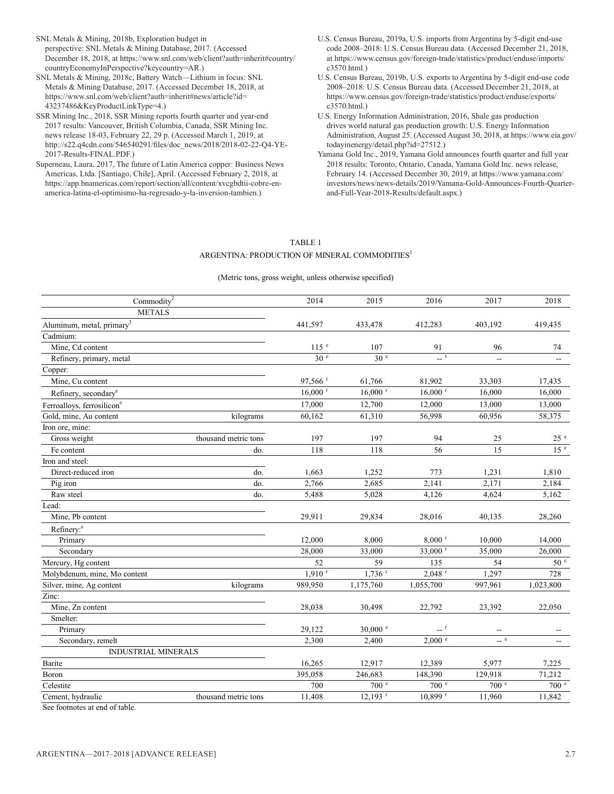- SNL Metals & Mining, 2018b, Exploration budget in perspective: SNL Metals & Mining Database, 2017. (Accessed December 18, 2018, at https://www.snl.com/web/client?auth=inherit#country/ countryEconomyInPerspective?keycountry=AR.)
- SNL Metals & Mining, 2018c, Battery Watch—Lithium in focus: SNL Metals & Mining Database, 2017. (Accessed December 18, 2018, at https://www.snl.com/web/client?auth=inherit#news/article?id= 43237486&KeyProductLinkType=4.)
- SSR Mining Inc., 2018, SSR Mining reports fourth quarter and year-end 2017 results: Vancouver, British Columbia, Canada, SSR Mining Inc. news release 18-03, February 22, 29 p. (Accessed March 1, 2019, at http://s22.q4cdn.com/546540291/files/doc\_news/2018/2018-02-22-Q4-YE-2017-Results-FINAL.PDF.)
- Superneau, Laura, 2017, The future of Latin America copper: Business News Americas, Ltda. [Santiago, Chile], April. (Accessed February 2, 2018, at https://app.bnamericas.com/report/section/all/content/xvcgbdtii-cobre-enamerica-latina-el-optimismo-ha-regresado-y-la-inversion-tambien.)
- U.S. Census Bureau, 2019a, U.S. imports from Argentina by 5-digit end-use code 2008–2018: U.S. Census Bureau data. (Accessed December 21, 2018, at https://www.census.gov/foreign-trade/statistics/product/enduse/imports/ c3570.html.)
- U.S. Census Bureau, 2019b, U.S. exports to Argentina by 5-digit end-use code 2008–2018: U.S. Census Bureau data. (Accessed December 21, 2018, at https://www.census.gov/foreign-trade/statistics/product/enduse/exports/ c3570.html.)
- U.S. Energy Information Administration, 2016, Shale gas production drives world natural gas production growth: U.S. Energy Information Administration, August 25. (Accessed August 30, 2018, at https://www.eia.gov/ todayinenergy/detail.php?id=27512.)
- Yamana Gold Inc., 2019, Yamana Gold announces fourth quarter and full year 2018 results: Toronto, Ontario, Canada, Yamana Gold Inc. news release, February 14. (Accessed December 30, 2019, at https://www.yamana.com/ investors/news/news-details/2019/Yamana-Gold-Announces-Fourth-Quarterand-Full-Year-2018-Results/default.aspx.)

#### TABLE 1 ARGENTINA: PRODUCTION OF MINERAL COMMODITIES<sup>1</sup>

#### (Metric tons, gross weight, unless otherwise specified)

| Commodity <sup>2</sup>                 |                      | 2014                  | 2015                  | 2016                                                 | 2017                                                | 2018            |
|----------------------------------------|----------------------|-----------------------|-----------------------|------------------------------------------------------|-----------------------------------------------------|-----------------|
| <b>METALS</b>                          |                      |                       |                       |                                                      |                                                     |                 |
| Aluminum, metal, primary <sup>3</sup>  |                      | 441,597               | 433,478               | 412,283                                              | 403,192                                             | 419,435         |
| Cadmium:                               |                      |                       |                       |                                                      |                                                     |                 |
| Mine, Cd content                       |                      | 115 <sup>e</sup>      | 107                   | 91                                                   | 96                                                  | 74              |
| Refinery, primary, metal               |                      | 30 <sup>e</sup>       | 30 <sup>e</sup>       | $ r$                                                 | $\mathbf{u}$                                        |                 |
| Copper:                                |                      |                       |                       |                                                      |                                                     |                 |
| Mine, Cu content                       |                      | 97,566 <sup>r</sup>   | 61,766                | 81,902                                               | 33,303                                              | 17,435          |
| Refinery, secondary <sup>e</sup>       |                      | $16,000$ <sup>r</sup> | $16,000$ <sup>r</sup> | $16,000$ <sup>r</sup>                                | 16,000                                              | 16,000          |
| Ferroalloys, ferrosilicon <sup>e</sup> |                      | 17,000                | 12,700                | 12,000                                               | 13,000                                              | 13,000          |
| Gold, mine, Au content                 | kilograms            | 60,162                | 61,310                | 56,998                                               | 60,956                                              | 58,375          |
| Iron ore, mine:                        |                      |                       |                       |                                                      |                                                     |                 |
| Gross weight                           | thousand metric tons | 197                   | 197                   | 94                                                   | 25                                                  | 25e             |
| Fe content                             | do.                  | 118                   | 118                   | 56                                                   | 15                                                  | 15 <sup>e</sup> |
| Iron and steel:                        |                      |                       |                       |                                                      |                                                     |                 |
| Direct-reduced iron                    | do.                  | 1,663                 | 1,252                 | 773                                                  | 1,231                                               | 1,810           |
| Pig iron                               | do.                  | 2,766                 | 2,685                 | 2,141                                                | 2,171                                               | 2,184           |
| Raw steel                              | do.                  | 5,488                 | 5,028                 | 4,126                                                | 4,624                                               | 5,162           |
| Lead:                                  |                      |                       |                       |                                                      |                                                     |                 |
| Mine, Pb content                       |                      | 29,911                | 29,834                | 28,016                                               | 40,135                                              | 28,260          |
| Refinery: <sup>e</sup>                 |                      |                       |                       |                                                      |                                                     |                 |
| Primary                                |                      | 12,000                | 8,000                 | $8,000$ <sup>r</sup>                                 | 10,000                                              | 14,000          |
| Secondary                              |                      | 28,000                | 33,000                | 33,000 r                                             | 35,000                                              | 26,000          |
| Mercury, Hg content                    |                      | 52                    | 59                    | 135                                                  | 54                                                  | 50 <sup>e</sup> |
| Molybdenum, mine, Mo content           |                      | $1,910$ <sup>r</sup>  | $1,736$ <sup>r</sup>  | $2,048$ <sup>r</sup>                                 | 1,297                                               | 728             |
| Silver, mine, Ag content               | kilograms            | 989,950               | 1,175,760             | 1,055,700                                            | 997,961                                             | 1,023,800       |
| Zinc:                                  |                      |                       |                       |                                                      |                                                     |                 |
| Mine, Zn content                       |                      | 28,038                | 30,498                | 22,792                                               | 23,392                                              | 22,050          |
| Smelter:                               |                      |                       |                       |                                                      |                                                     |                 |
| Primary                                |                      | 29,122                | $30,000$ e            | $\hspace{0.1cm}$ -- $\hspace{0.1cm}$ $^{\mathrm{r}}$ | $\hspace{0.05cm} -\hspace{0.05cm} -\hspace{0.05cm}$ |                 |
| Secondary, remelt                      |                      | 2,300                 | 2,400                 | 2,000 °                                              | $\sim$ e                                            |                 |
| <b>INDUSTRIAL MINERALS</b>             |                      |                       |                       |                                                      |                                                     |                 |
| Barite                                 |                      | 16,265                | 12,917                | 12,389                                               | 5,977                                               | 7,225           |
| Boron                                  |                      | 395,058               | 246,683               | 148,390                                              | 129,918                                             | 71,212          |
| Celestite                              |                      | 700                   | 700 <sup>e</sup>      | 700 <sup>e</sup>                                     | 700 <sup>°</sup>                                    | 700 e           |
| Cement, hydraulic                      | thousand metric tons | 11,408                | $12,193$ <sup>r</sup> | $10,899$ <sup>r</sup>                                | 11,960                                              | 11,842          |

See footnotes at end of table.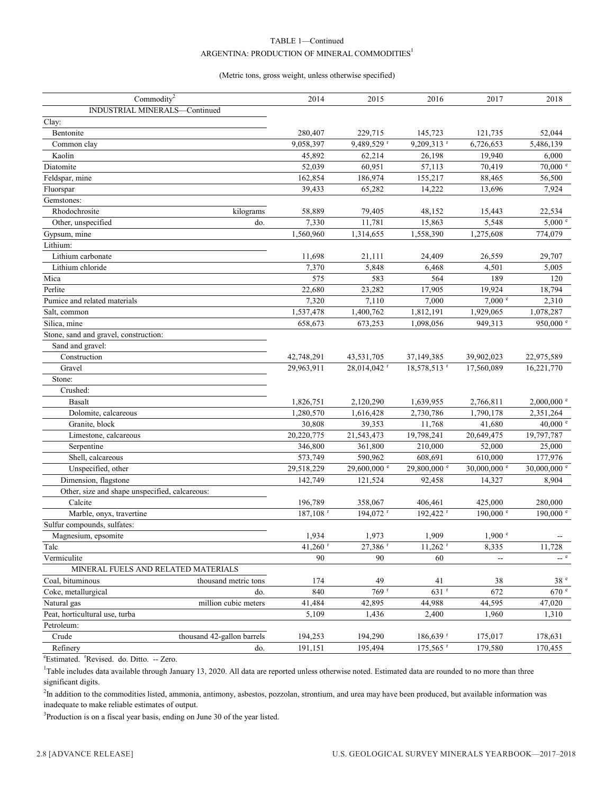#### TABLE 1—Continued ARGENTINA: PRODUCTION OF MINERAL COMMODITIES $^{\rm l}$

#### (Metric tons, gross weight, unless otherwise specified)

| Commodity <sup>2</sup>                                  |                            | 2014            | 2015                | 2016                   | 2017                     | 2018                 |
|---------------------------------------------------------|----------------------------|-----------------|---------------------|------------------------|--------------------------|----------------------|
| INDUSTRIAL MINERALS-Continued                           |                            |                 |                     |                        |                          |                      |
| Clay:                                                   |                            |                 |                     |                        |                          |                      |
| Bentonite                                               |                            | 280,407         | 229,715             | 145,723                | 121,735                  | 52,044               |
| Common clay                                             |                            | 9,058,397       | 9,489,529 r         | 9,209,313 r            | 6,726,653                | 5,486,139            |
| Kaolin                                                  |                            | 45,892          | 62,214              | 26,198                 | 19,940                   | 6,000                |
| Diatomite                                               |                            | 52,039          | 60,951              | 57,113                 | 70,419                   | $70,000$ $e$         |
| Feldspar, mine                                          |                            | 162,854         | 186,974             | 155,217                | 88,465                   | 56,500               |
| Fluorspar                                               |                            | 39,433          | 65,282              | 14,222                 | 13,696                   | 7,924                |
| Gemstones:                                              |                            |                 |                     |                        |                          |                      |
| Rhodochrosite                                           | kilograms                  | 58,889          | 79,405              | 48,152                 | 15,443                   | 22,534               |
| Other, unspecified                                      | do.                        | 7,330           | 11,781              | 15,863                 | 5,548                    | $5,000$ e            |
| Gypsum, mine                                            |                            | 1,560,960       | 1,314,655           | 1,558,390              | 1,275,608                | 774,079              |
| Lithium:                                                |                            |                 |                     |                        |                          |                      |
| Lithium carbonate                                       |                            | 11,698          | 21,111              | 24,409                 | 26,559                   | 29,707               |
| Lithium chloride                                        |                            | 7,370           | 5,848               | 6,468                  | 4,501                    | 5,005                |
| Mica                                                    |                            | 575             | 583                 | 564                    | 189                      | 120                  |
| Perlite                                                 |                            | 22,680          | 23,282              | 17,905                 | 19,924                   | 18,794               |
| Pumice and related materials                            |                            | 7,320           | 7,110               | 7,000                  | 7,000 °                  | 2,310                |
| Salt, common                                            |                            | 1,537,478       | 1,400,762           | 1,812,191              | 1,929,065                | 1,078,287            |
| Silica, mine                                            |                            | 658,673         | 673,253             | 1,098,056              | 949,313                  | 950,000 e            |
| Stone, sand and gravel, construction:                   |                            |                 |                     |                        |                          |                      |
| Sand and gravel:                                        |                            |                 |                     |                        |                          |                      |
| Construction                                            |                            | 42,748,291      | 43,531,705          | 37,149,385             | 39,902,023               | 22,975,589           |
| Gravel                                                  |                            | 29,963,911      | 28,014,042 r        | 18,578,513 r           | 17,560,089               | 16,221,770           |
| Stone:                                                  |                            |                 |                     |                        |                          |                      |
| Crushed:                                                |                            |                 |                     |                        |                          |                      |
| Basalt                                                  |                            | 1,826,751       | 2,120,290           | 1,639,955              | 2,766,811                | $2,000,000$ e        |
| Dolomite, calcareous                                    |                            | 1,280,570       | 1,616,428           | 2,730,786              | 1,790,178                | 2,351,264            |
| Granite, block                                          |                            | 30,808          | 39,353              | 11,768                 | 41,680                   | 40,000 $^{\circ}$    |
| Limestone, calcareous                                   |                            | 20,220,775      | 21,543,473          | 19,798,241             | 20,649,475               | 19,797,787           |
| Serpentine                                              |                            | 346,800         | 361,800             | 210,000                | 52,000                   | 25,000               |
| Shell, calcareous                                       |                            | 573,749         | 590,962             | 608,691                | 610,000                  | 177,976              |
| Unspecified, other                                      |                            | 29,518,229      | 29,600,000 e        | 29,800,000 e           | 30,000,000 e             | 30,000,000 e         |
| Dimension, flagstone                                    |                            | 142,749         | 121,524             | 92,458                 | 14,327                   | 8,904                |
| Other, size and shape unspecified, calcareous:          |                            |                 |                     |                        |                          |                      |
| Calcite                                                 |                            | 196,789         | 358,067             | 406,461                | 425,000                  | 280,000              |
| Marble, onyx, travertine                                |                            | 187,108 r       | 194,072 r           | 192,422 r              | $190,000$ $\degree$      | $190,000$ $^{\circ}$ |
| Sulfur compounds, sulfates:                             |                            |                 |                     |                        |                          |                      |
| Magnesium, epsomite                                     |                            | 1,934           | 1,973               | 1,909                  | $1,900$ e                |                      |
| Talc                                                    |                            | 41,260 $r$      | 27,386 <sup>r</sup> | $11,262$ <sup>r</sup>  | 8,335                    | 11,728<br>$\sim$ e   |
| Vermiculite                                             |                            | 90              | 90                  | 60                     | $\overline{\phantom{a}}$ |                      |
| MINERAL FUELS AND RELATED MATERIALS<br>Coal, bituminous |                            |                 |                     |                        |                          |                      |
|                                                         | thousand metric tons       | 174             | 49<br>769r          | 41                     | 38                       | 38e                  |
| Coke, metallurgical                                     | do.                        | 840             |                     | $631$ <sup>r</sup>     | 672                      | 670 e                |
| Natural gas<br>Peat, horticultural use, turba           | million cubic meters       | 41,484<br>5,109 | 42,895<br>1,436     | 44,988<br>2,400        | 44,595<br>1,960          | 47,020<br>1,310      |
|                                                         |                            |                 |                     |                        |                          |                      |
| Petroleum:<br>Crude                                     | thousand 42-gallon barrels |                 | 194,290             |                        |                          |                      |
|                                                         |                            | 194,253         |                     | $186,639$ <sup>r</sup> | 175,017                  | 178,631              |
| Refinery                                                | do.                        | 191,151         | 195,494             | $175,565$ <sup>r</sup> | 179,580                  | 170,455              |

<sup>e</sup>Estimated. <sup>r</sup>Revised. do. Ditto. -- Zero.

<sup>1</sup>Table includes data available through January 13, 2020. All data are reported unless otherwise noted. Estimated data are rounded to no more than three significant digits.

<sup>2</sup>In addition to the commodities listed, ammonia, antimony, asbestos, pozzolan, strontium, and urea may have been produced, but available information was inadequate to make reliable estimates of output.

 $3$ Production is on a fiscal year basis, ending on June 30 of the year listed.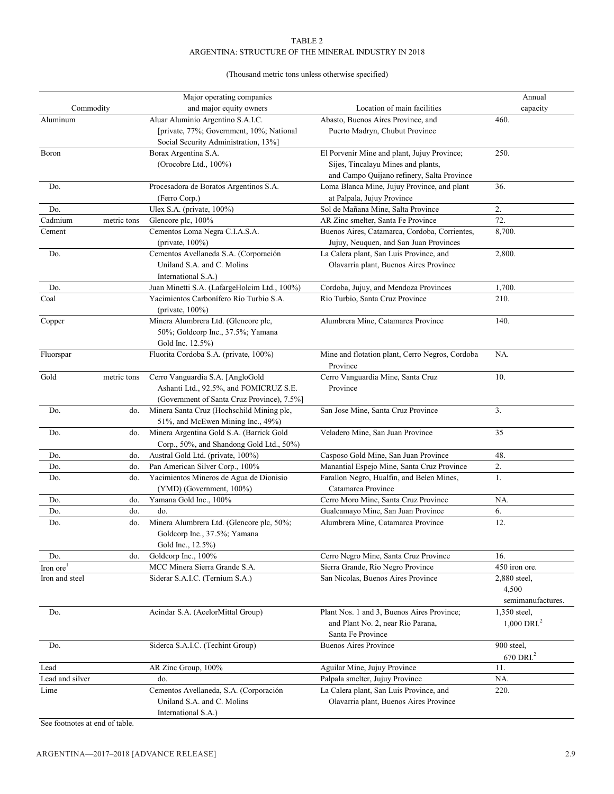#### TABLE 2 ARGENTINA: STRUCTURE OF THE MINERAL INDUSTRY IN 2018

#### (Thousand metric tons unless otherwise specified)

| Major operating companies |             |                                              | Annual                                          |                       |
|---------------------------|-------------|----------------------------------------------|-------------------------------------------------|-----------------------|
| Commodity                 |             | and major equity owners                      | Location of main facilities                     | capacity              |
| Aluminum                  |             | Aluar Aluminio Argentino S.A.I.C.            | Abasto, Buenos Aires Province, and              | 460.                  |
|                           |             | [private, 77%; Government, 10%; National     | Puerto Madryn, Chubut Province                  |                       |
|                           |             | Social Security Administration, 13%]         |                                                 |                       |
| Boron                     |             | Borax Argentina S.A.                         | El Porvenir Mine and plant, Jujuy Province;     | 250.                  |
|                           |             | (Orocobre Ltd., 100%)                        | Sijes, Tincalayu Mines and plants,              |                       |
|                           |             |                                              | and Campo Quijano refinery, Salta Province      |                       |
| Do.                       |             | Procesadora de Boratos Argentinos S.A.       | Loma Blanca Mine, Jujuy Province, and plant     | 36.                   |
|                           |             | (Ferro Corp.)                                | at Palpala, Jujuy Province                      |                       |
| Do.                       |             | Ulex S.A. (private, 100%)                    | Sol de Mañana Mine, Salta Province              | 2.                    |
| Cadmium                   | metric tons | Glencore plc, 100%                           | AR Zinc smelter, Santa Fe Province              | 72.                   |
| Cement                    |             | Cementos Loma Negra C.I.A.S.A.               | Buenos Aires, Catamarca, Cordoba, Corrientes,   | 8,700.                |
|                           |             | (private, $100\%$ )                          | Jujuy, Neuquen, and San Juan Provinces          |                       |
| Do.                       |             | Cementos Avellaneda S.A. (Corporación        | La Calera plant, San Luis Province, and         | 2,800.                |
|                           |             | Uniland S.A. and C. Molins                   | Olavarria plant, Buenos Aires Province          |                       |
|                           |             | International S.A.)                          |                                                 |                       |
| Do.                       |             | Juan Minetti S.A. (LafargeHolcim Ltd., 100%) | Cordoba, Jujuy, and Mendoza Provinces           | 1,700.                |
| Coal                      |             | Yacimientos Carbonífero Río Turbio S.A.      | Rio Turbio, Santa Cruz Province                 | 210.                  |
|                           |             | (private, $100\%$ )                          |                                                 |                       |
| Copper                    |             | Minera Alumbrera Ltd. (Glencore plc,         | Alumbrera Mine, Catamarca Province              | 140.                  |
|                           |             | 50%; Goldcorp Inc., 37.5%; Yamana            |                                                 |                       |
|                           |             | Gold Inc. 12.5%)                             |                                                 |                       |
| Fluorspar                 |             | Fluorita Cordoba S.A. (private, 100%)        | Mine and flotation plant, Cerro Negros, Cordoba | NA.                   |
|                           |             |                                              | Province                                        |                       |
| Gold                      | metric tons | Cerro Vanguardia S.A. [AngloGold             | Cerro Vanguardia Mine, Santa Cruz               | 10.                   |
|                           |             | Ashanti Ltd., 92.5%, and FOMICRUZ S.E.       | Province                                        |                       |
|                           |             | (Government of Santa Cruz Province), 7.5%]   |                                                 |                       |
| Do.                       | do.         | Minera Santa Cruz (Hochschild Mining plc,    | San Jose Mine, Santa Cruz Province              | 3.                    |
|                           |             | 51%, and McEwen Mining Inc., 49%)            |                                                 |                       |
| Do.                       | do.         | Minera Argentina Gold S.A. (Barrick Gold     | Veladero Mine, San Juan Province                | 35                    |
|                           |             | Corp., 50%, and Shandong Gold Ltd., 50%)     |                                                 |                       |
| Do.                       | do.         | Austral Gold Ltd. (private, 100%)            | Casposo Gold Mine, San Juan Province            | 48.                   |
| Do.                       | do.         | Pan American Silver Corp., 100%              | Manantial Espejo Mine, Santa Cruz Province      | 2.                    |
| Do.                       | do.         | Yacimientos Mineros de Agua de Dionisio      | Farallon Negro, Hualfin, and Belen Mines,       | 1.                    |
|                           |             | (YMD) (Government, 100%)                     | Catamarca Province                              |                       |
| Do.                       | do.         | Yamana Gold Inc., 100%                       | Cerro Moro Mine, Santa Cruz Province            | NA.                   |
| Do.                       | do.         | do.                                          | Gualcamayo Mine, San Juan Province              | 6.                    |
| Do.                       | do.         | Minera Alumbrera Ltd. (Glencore plc, 50%;    | Alumbrera Mine, Catamarca Province              | 12.                   |
|                           |             | Goldcorp Inc., 37.5%; Yamana                 |                                                 |                       |
|                           |             | Gold Inc., 12.5%)                            |                                                 |                       |
| Do.                       | do.         | Goldcorp Inc., 100%                          | Cerro Negro Mine, Santa Cruz Province           | 16.                   |
| Iron ore <sup>1</sup>     |             | MCC Minera Sierra Grande S.A.                | Sierra Grande, Rio Negro Province               | 450 iron ore.         |
| Iron and steel            |             | Siderar S.A.I.C. (Ternium S.A.)              | San Nicolas, Buenos Aires Province              | 2,880 steel,          |
|                           |             |                                              |                                                 | 4,500                 |
|                           |             |                                              |                                                 | semimanufactures.     |
| Do.                       |             | Acindar S.A. (AcelorMittal Group)            | Plant Nos. 1 and 3, Buenos Aires Province;      | 1,350 steel,          |
|                           |             |                                              | and Plant No. 2, near Rio Parana,               | $1,000$ DRI. $^2$     |
|                           |             |                                              | Santa Fe Province                               |                       |
| Do.                       |             | Siderca S.A.I.C. (Techint Group)             | <b>Buenos Aires Province</b>                    | 900 steel,            |
|                           |             |                                              |                                                 | 670 DRI. <sup>2</sup> |
| Lead                      |             | AR Zinc Group, 100%                          | Aguilar Mine, Jujuy Province                    | 11.                   |
| Lead and silver           |             | do.                                          | Palpala smelter, Jujuy Province                 | NA.                   |
| Lime                      |             | Cementos Avellaneda, S.A. (Corporación       | La Calera plant, San Luis Province, and         | 220.                  |
|                           |             | Uniland S.A. and C. Molins                   | Olavarria plant, Buenos Aires Province          |                       |
|                           |             | International S.A.)                          |                                                 |                       |
|                           |             |                                              |                                                 |                       |

See footnotes at end of table.